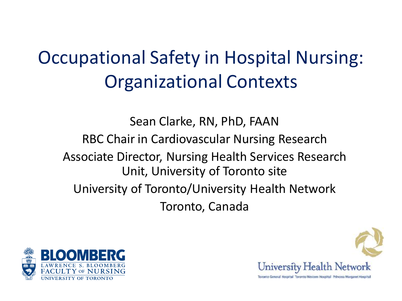### Occupational Safety in Hospital Nursing: Organizational Contexts

Sean Clarke, RN, PhD, FAAN RBC Chair in Cardiovascular Nursing Research Associate Director, Nursing Health Services Research Unit, University of Toronto site University of Toronto/University Health Network Toronto, Canada



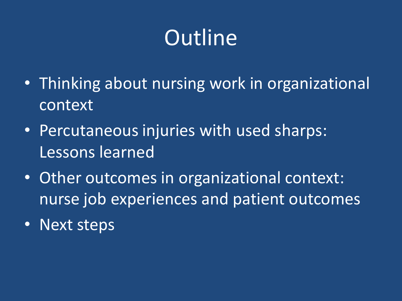## **Outline**

- Thinking about nursing work in organizational context
- Percutaneous injuries with used sharps: Lessons learned
- Other outcomes in organizational context: nurse job experiences and patient outcomes
- Next steps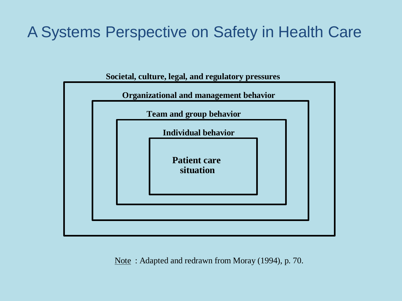#### A Systems Perspective on Safety in Health Care



Note : Adapted and redrawn from Moray (1994), p. 70.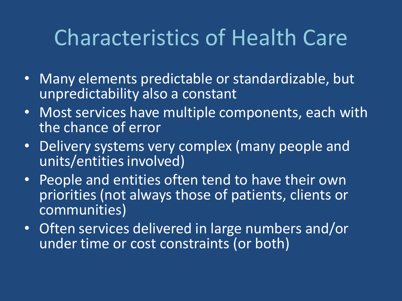## Characteristics of Health Care

- Many elements predictable or standardizable, but unpredictability also a constant
- Most services have multiple components, each with the chance of error
- Delivery systems very complex (many people and units/entities involved)
- People and entities often tend to have their own priorities (not always those of patients, clients or communities)
- Often services delivered in large numbers and/or under time or cost constraints (or both)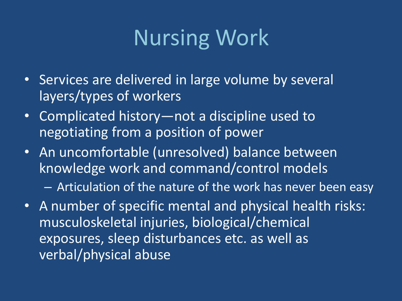## Nursing Work

- Services are delivered in large volume by several layers/types of workers
- Complicated history—not a discipline used to negotiating from a position of power
- An uncomfortable (unresolved) balance between knowledge work and command/control models
	- Articulation of the nature of the work has never been easy
- A number of specific mental and physical health risks: musculoskeletal injuries, biological/chemical exposures, sleep disturbances etc. as well as verbal/physical abuse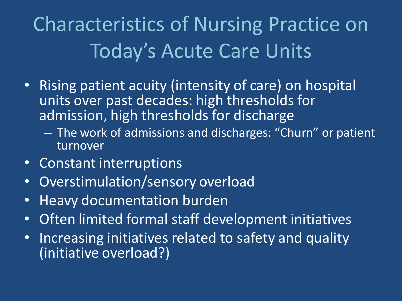Characteristics of Nursing Practice on Today's Acute Care Units

- Rising patient acuity (intensity of care) on hospital units over past decades: high thresholds for admission, high thresholds for discharge
	- The work of admissions and discharges: "Churn" or patient turnover
- Constant interruptions
- Overstimulation/sensory overload
- Heavy documentation burden
- Often limited formal staff development initiatives
- Increasing initiatives related to safety and quality (initiative overload?)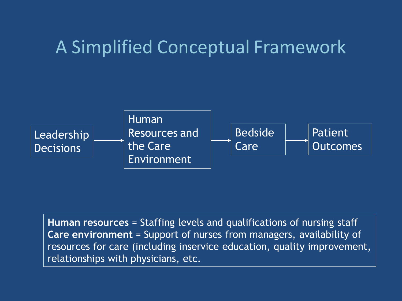#### A Simplified Conceptual Framework



**Human resources** = Staffing levels and qualifications of nursing staff **Care environment** = Support of nurses from managers, availability of resources for care (including inservice education, quality improvement, relationships with physicians, etc.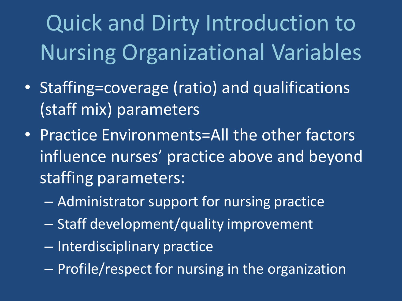Quick and Dirty Introduction to Nursing Organizational Variables

- Staffing=coverage (ratio) and qualifications (staff mix) parameters
- Practice Environments=All the other factors influence nurses' practice above and beyond staffing parameters:
	- Administrator support for nursing practice
	- Staff development/quality improvement
	- Interdisciplinary practice
	- Profile/respect for nursing in the organization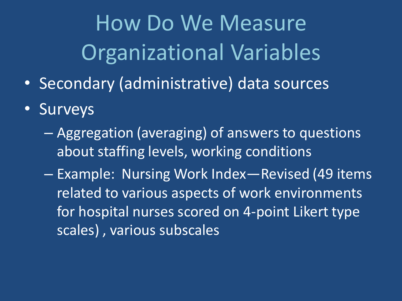How Do We Measure Organizational Variables

- Secondary (administrative) data sources
- Surveys
	- Aggregation (averaging) of answers to questions about staffing levels, working conditions

– Example: Nursing Work Index—Revised (49 items related to various aspects of work environments for hospital nurses scored on 4-point Likert type scales) , various subscales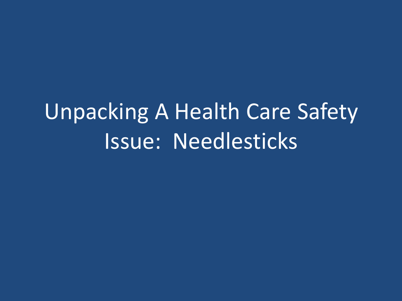# Unpacking A Health Care Safety Issue: Needlesticks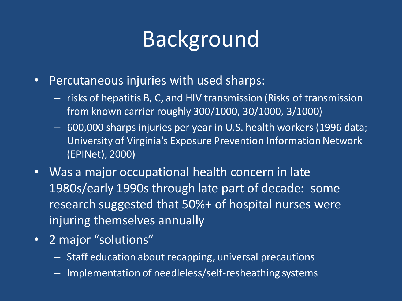## Background

- Percutaneous injuries with used sharps:
	- risks of hepatitis B, C, and HIV transmission (Risks of transmission from known carrier roughly 300/1000, 30/1000, 3/1000)
	- 600,000 sharps injuries per year in U.S. health workers (1996 data; University of Virginia's Exposure Prevention Information Network (EPINet), 2000)
- Was a major occupational health concern in late 1980s/early 1990s through late part of decade: some research suggested that 50%+ of hospital nurses were injuring themselves annually
- 2 major "solutions"
	- Staff education about recapping, universal precautions
	- Implementation of needleless/self-resheathing systems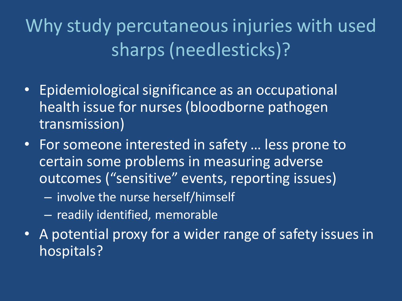Why study percutaneous injuries with used sharps (needlesticks)?

- Epidemiological significance as an occupational health issue for nurses (bloodborne pathogen transmission)
- For someone interested in safety … less prone to certain some problems in measuring adverse outcomes ("sensitive" events, reporting issues)
	- involve the nurse herself/himself
	- readily identified, memorable
- A potential proxy for a wider range of safety issues in hospitals?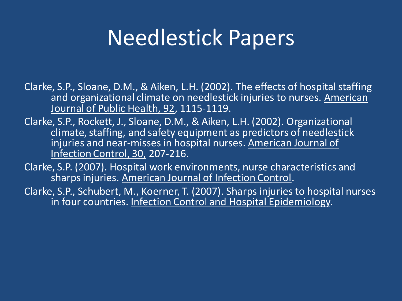## Needlestick Papers

Clarke, S.P., Sloane, D.M., & Aiken, L.H. (2002). The effects of hospital staffing and organizational climate on needlestick injuries to nurses. American Journal of Public Health, 92, 1115-1119.

Clarke, S.P., Rockett, J., Sloane, D.M., & Aiken, L.H. (2002). Organizational climate, staffing, and safety equipment as predictors of needlestick injuries and near-misses in hospital nurses. American Journal of Infection Control, 30, 207-216.

Clarke, S.P. (2007). Hospital work environments, nurse characteristics and sharps injuries. American Journal of Infection Control.

Clarke, S.P., Schubert, M., Koerner, T. (2007). Sharps injuries to hospital nurses in four countries. Infection Control and Hospital Epidemiology.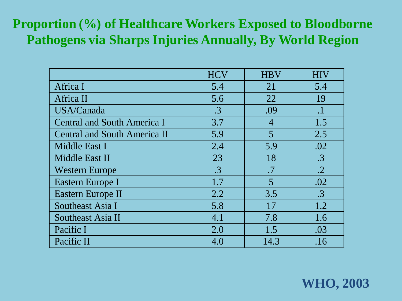#### **Proportion (%) of Healthcare Workers Exposed to Bloodborne Pathogens via Sharps Injuries Annually, By World Region**

|                                     | <b>HCV</b> | <b>HBV</b>     | <b>HIV</b> |
|-------------------------------------|------------|----------------|------------|
| Africa I                            | 5.4        | 21             | 5.4        |
| Africa II                           | 5.6        | 22             | 19         |
| USA/Canada                          | $\cdot$ 3  | .09            | $\cdot$    |
| <b>Central and South America I</b>  | 3.7        | $\overline{4}$ | 1.5        |
| <b>Central and South America II</b> | 5.9        | 5              | 2.5        |
| Middle East I                       | 2.4        | 5.9            | .02        |
| Middle East II                      | 23         | 18             | $\cdot$ 3  |
| <b>Western Europe</b>               | $\cdot$ 3  | .7             | $\cdot$ .2 |
| Eastern Europe I                    | 1.7        | 5              | .02        |
| Eastern Europe II                   | 2.2        | 3.5            | $\cdot$ 3  |
| Southeast Asia I                    | 5.8        | 17             | 1.2        |
| Southeast Asia II                   | 4.1        | 7.8            | 1.6        |
| Pacific I                           | 2.0        | 1.5            | .03        |
| Pacific II                          | 4.0        | 14.3           | .16        |

**WHO, 2003**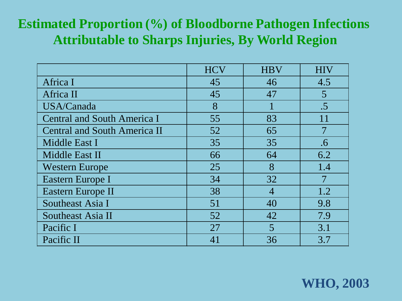#### **Estimated Proportion (%) of Bloodborne Pathogen Infections Attributable to Sharps Injuries, By World Region**

|                                     | <b>HCV</b> | <b>HBV</b>     | <b>HIV</b>     |
|-------------------------------------|------------|----------------|----------------|
| Africa I                            | 45         | 46             | 4.5            |
| Africa II                           | 45         | 47             | $\overline{5}$ |
| USA/Canada                          | 8          |                | $.5\,$         |
| <b>Central and South America I</b>  | 55         | 83             | 11             |
| <b>Central and South America II</b> | 52         | 65             |                |
| Middle East I                       | 35         | 35             | .6             |
| Middle East II                      | 66         | 64             | 6.2            |
| <b>Western Europe</b>               | 25         | 8              | 1.4            |
| Eastern Europe I                    | 34         | 32             |                |
| Eastern Europe II                   | 38         | $\overline{4}$ | 1.2            |
| Southeast Asia I                    | 51         | 40             | 9.8            |
| Southeast Asia II                   | 52         | 42             | 7.9            |
| Pacific I                           | 27         | 5              | 3.1            |
| Pacific II                          | 41         | 36             | 3.7            |

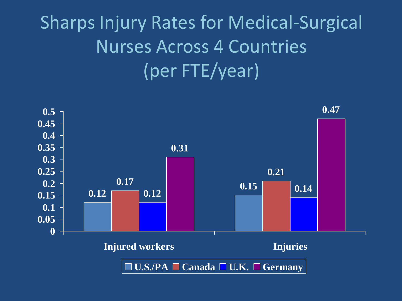## Sharps Injury Rates for Medical-Surgical Nurses Across 4 Countries (per FTE/year)

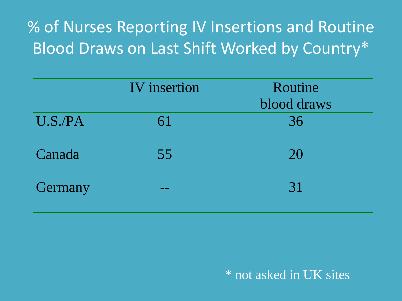% of Nurses Reporting IV Insertions and Routine Blood Draws on Last Shift Worked by Country\*

|         | <b>IV</b> insertion | Routine<br>blood draws |
|---------|---------------------|------------------------|
| U.S.PA  | 61                  | 36                     |
| Canada  | 55                  | 20                     |
| Germany |                     | 31                     |

\* not asked in UK sites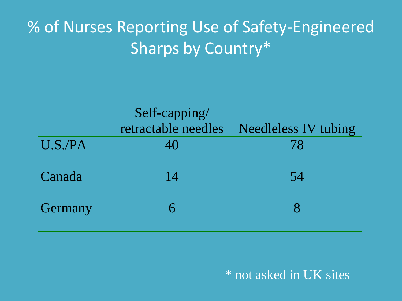#### % of Nurses Reporting Use of Safety-Engineered Sharps by Country\*

|         | Self-capping/       |                      |  |
|---------|---------------------|----------------------|--|
|         | retractable needles | Needleless IV tubing |  |
| U.S./PA | 40                  | 78                   |  |
| Canada  | 14                  | 54                   |  |
| Germany | 6                   |                      |  |

#### \* not asked in UK sites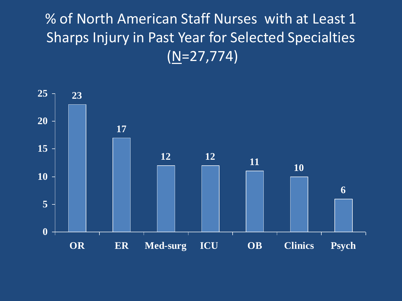#### % of North American Staff Nurses with at Least 1 Sharps Injury in Past Year for Selected Specialties (N=27,774)

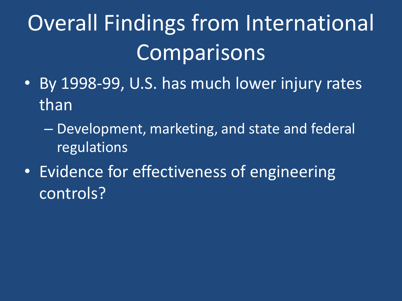# Overall Findings from International **Comparisons**

- By 1998-99, U.S. has much lower injury rates than
	- Development, marketing, and state and federal regulations
- Evidence for effectiveness of engineering controls?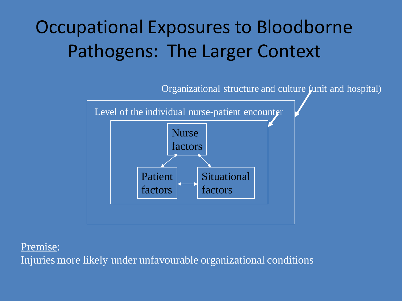### Occupational Exposures to Bloodborne Pathogens: The Larger Context



Premise: Injuries more likely under unfavourable organizational conditions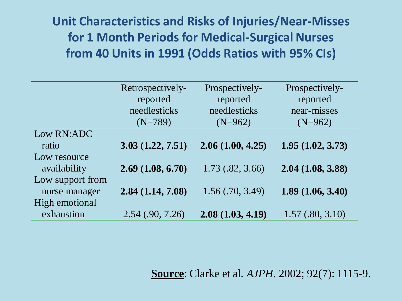**Unit Characteristics and Risks of Injuries/Near-Misses for 1 Month Periods for Medical-Surgical Nurses from 40 Units in 1991 (Odds Ratios with 95% CIs)**

|                  | Retrospectively-   | Prospectively-       | Prospectively-   |
|------------------|--------------------|----------------------|------------------|
|                  | reported           | reported             | reported         |
|                  | needlesticks       | needlesticks         | near-misses      |
|                  | $(N=789)$          | $(N=962)$            | $(N=962)$        |
| Low RN:ADC       |                    |                      |                  |
| ratio            | 3.03(1.22, 7.51)   | 2.06(1.00, 4.25)     | 1.95(1.02, 3.73) |
| Low resource     |                    |                      |                  |
| availability     | 2.69(1.08, 6.70)   | $1.73$ $(.82, 3.66)$ | 2.04(1.08, 3.88) |
| Low support from |                    |                      |                  |
| nurse manager    | 2.84(1.14, 7.08)   | 1.56(.70, 3.49)      | 1.89(1.06, 3.40) |
| High emotional   |                    |                      |                  |
| exhaustion       | $2.54$ (.90, 7.26) | 2.08(1.03, 4.19)     | 1.57(.80, 3.10)  |

**Source**: Clarke et al. *AJPH*. 2002; 92(7): 1115-9.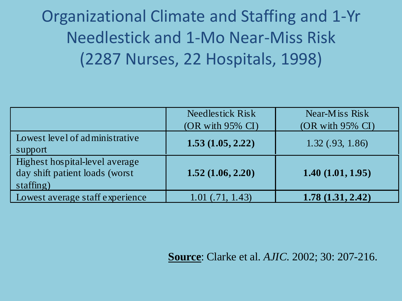Organizational Climate and Staffing and 1-Yr Needlestick and 1-Mo Near-Miss Risk (2287 Nurses, 22 Hospitals, 1998)

|                                                                               | <b>Needlestick Risk</b> | Near-Miss Risk      |
|-------------------------------------------------------------------------------|-------------------------|---------------------|
|                                                                               | $(OR with 95\% CI)$     | $(OR with 95\% CI)$ |
| Lowest level of administrative<br>support                                     | 1.53(1.05, 2.22)        | 1.32(0.93, 1.86)    |
| Highest hospital-level average<br>day shift patient loads (worst<br>statfing) | 1.52(1.06, 2.20)        | 1.40(1.01, 1.95)    |
| Lowest average staff experience                                               | $1.01$ (.71, 1.43)      | 1.78(1.31, 2.42)    |

**Source**: Clarke et al. *AJIC*. 2002; 30: 207-216.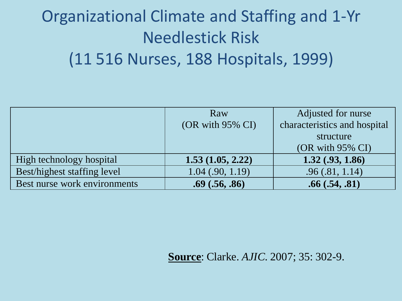### Organizational Climate and Staffing and 1-Yr Needlestick Risk (11 516 Nurses, 188 Hospitals, 1999)

|                              | Raw                 | Adjusted for nurse           |
|------------------------------|---------------------|------------------------------|
|                              | $(OR with 95\% CI)$ | characteristics and hospital |
|                              |                     | structure                    |
|                              |                     | $(OR with 95\% CI)$          |
| High technology hospital     | 1.53(1.05, 2.22)    | $1.32 \ (.93, 1.86)$         |
| Best/highest staffing level  | $1.04$ (.90, 1.19)  | .96(.81, 1.14)               |
| Best nurse work environments | .69(.56,.86)        | .66(.54,.81)                 |

**Source**: Clarke. *AJIC*. 2007; 35: 302-9.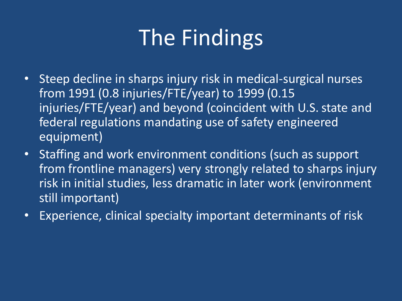## The Findings

- Steep decline in sharps injury risk in medical-surgical nurses from 1991 (0.8 injuries/FTE/year) to 1999 (0.15 injuries/FTE/year) and beyond (coincident with U.S. state and federal regulations mandating use of safety engineered equipment)
- Staffing and work environment conditions (such as support from frontline managers) very strongly related to sharps injury risk in initial studies, less dramatic in later work (environment still important)
- Experience, clinical specialty important determinants of risk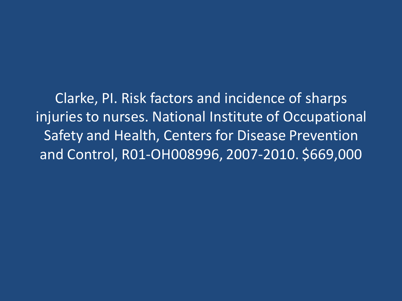Clarke, PI. Risk factors and incidence of sharps injuries to nurses. National Institute of Occupational Safety and Health, Centers for Disease Prevention and Control, R01-OH008996, 2007-2010. \$669,000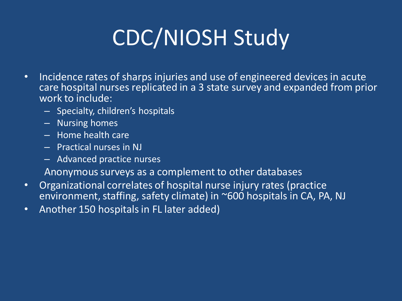# CDC/NIOSH Study

- Incidence rates of sharps injuries and use of engineered devices in acute care hospital nurses replicated in a 3 state survey and expanded from prior work to include:
	- Specialty, children's hospitals
	- Nursing homes
	- Home health care
	- Practical nurses in NJ
	- Advanced practice nurses

Anonymous surveys as a complement to other databases

- Organizational correlates of hospital nurse injury rates (practice environment, staffing, safety climate) in ~600 hospitals in CA, PA, NJ
- Another 150 hospitals in FL later added)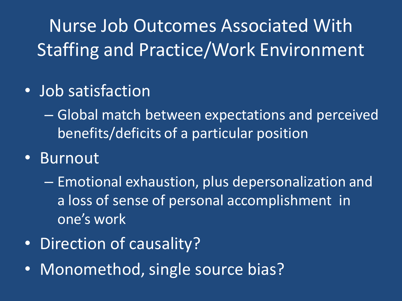Nurse Job Outcomes Associated With Staffing and Practice/Work Environment

- Job satisfaction
	- Global match between expectations and perceived benefits/deficits of a particular position
- Burnout
	- Emotional exhaustion, plus depersonalization and a loss of sense of personal accomplishment in one's work
- Direction of causality?
- Monomethod, single source bias?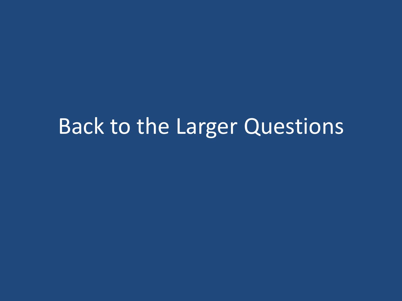## Back to the Larger Questions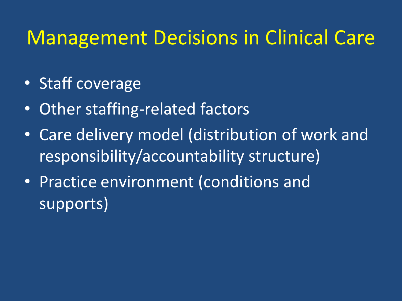### Management Decisions in Clinical Care

- Staff coverage
- Other staffing-related factors
- Care delivery model (distribution of work and responsibility/accountability structure)
- Practice environment (conditions and supports)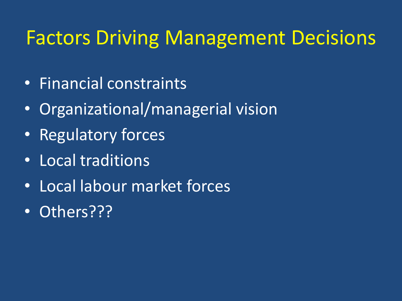### Factors Driving Management Decisions

- Financial constraints
- Organizational/managerial vision
- Regulatory forces
- Local traditions
- Local labour market forces
- Others???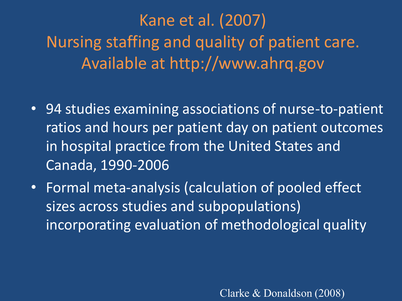Kane et al. (2007) Nursing staffing and quality of patient care. Available at http://www.ahrq.gov

- 94 studies examining associations of nurse-to-patient ratios and hours per patient day on patient outcomes in hospital practice from the United States and Canada, 1990-2006
- Formal meta-analysis (calculation of pooled effect sizes across studies and subpopulations) incorporating evaluation of methodological quality

Clarke & Donaldson (2008)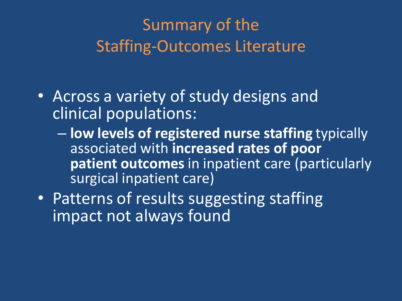#### Summary of the Staffing-Outcomes Literature

- Across a variety of study designs and clinical populations:
	- **low levels of registered nurse staffing** typically associated with **increased rates of poor patient outcomes**in inpatient care (particularly surgical inpatient care)
- Patterns of results suggesting staffing impact not always found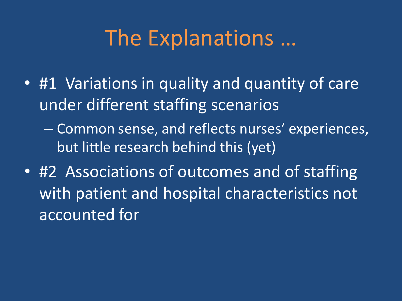## The Explanations …

• #1 Variations in quality and quantity of care under different staffing scenarios

– Common sense, and reflects nurses' experiences, but little research behind this (yet)

• #2 Associations of outcomes and of staffing with patient and hospital characteristics not accounted for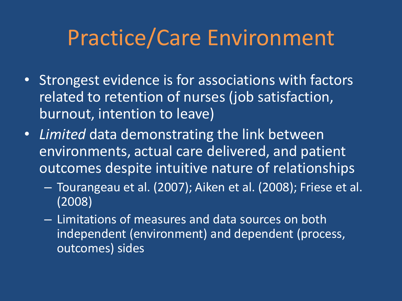## Practice/Care Environment

- Strongest evidence is for associations with factors related to retention of nurses (job satisfaction, burnout, intention to leave)
- *Limited* data demonstrating the link between environments, actual care delivered, and patient outcomes despite intuitive nature of relationships
	- Tourangeau et al. (2007); Aiken et al. (2008); Friese et al. (2008)
	- Limitations of measures and data sources on both independent (environment) and dependent (process, outcomes) sides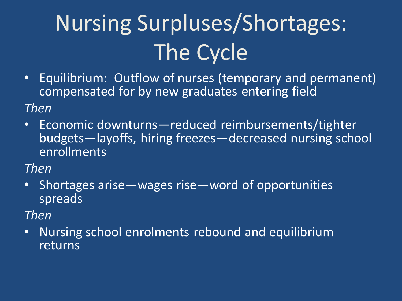# Nursing Surpluses/Shortages: The Cycle

• Equilibrium: Outflow of nurses (temporary and permanent) compensated for by new graduates entering field

#### *Then*

• Economic downturns—reduced reimbursements/tighter budgets—layoffs, hiring freezes—decreased nursing school enrollments

*Then*

• Shortages arise—wages rise—word of opportunities spreads

*Then*

• Nursing school enrolments rebound and equilibrium returns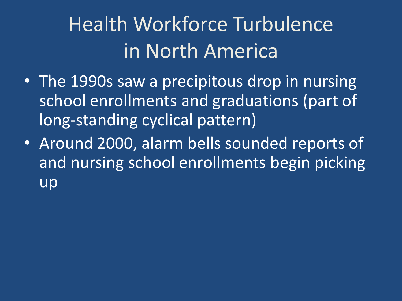## Health Workforce Turbulence in North America

- The 1990s saw a precipitous drop in nursing school enrollments and graduations (part of long-standing cyclical pattern)
- Around 2000, alarm bells sounded reports of and nursing school enrollments begin picking up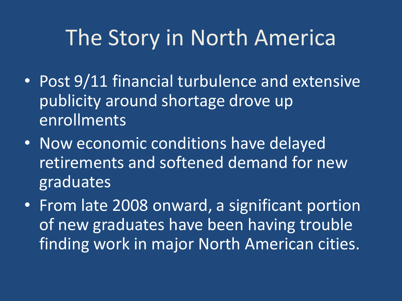## The Story in North America

- Post 9/11 financial turbulence and extensive publicity around shortage drove up enrollments
- Now economic conditions have delayed retirements and softened demand for new graduates
- From late 2008 onward, a significant portion of new graduates have been having trouble finding work in major North American cities.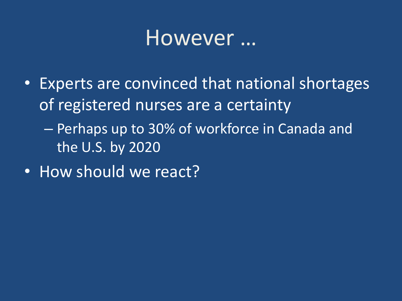### However …

- Experts are convinced that national shortages of registered nurses are a certainty – Perhaps up to 30% of workforce in Canada and the U.S. by 2020
- How should we react?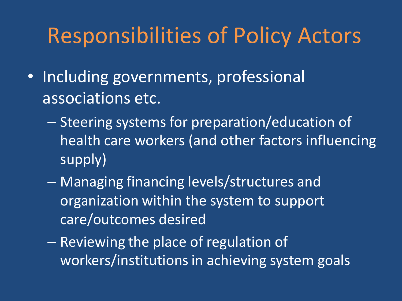## Responsibilities of Policy Actors

- Including governments, professional associations etc.
	- Steering systems for preparation/education of health care workers (and other factors influencing supply)
	- Managing financing levels/structures and organization within the system to support care/outcomes desired
	- Reviewing the place of regulation of workers/institutions in achieving system goals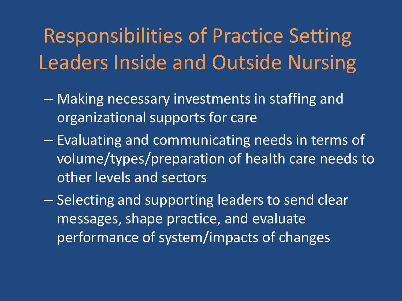## Responsibilities of Practice Setting Leaders Inside and Outside Nursing

- Making necessary investments in staffing and organizational supports for care
- Evaluating and communicating needs in terms of volume/types/preparation of health care needs to other levels and sectors
- Selecting and supporting leaders to send clear messages, shape practice, and evaluate performance of system/impacts of changes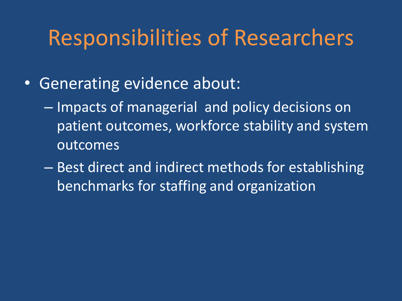### Responsibilities of Researchers

- Generating evidence about:
	- Impacts of managerial and policy decisions on patient outcomes, workforce stability and system outcomes
	- Best direct and indirect methods for establishing benchmarks for staffing and organization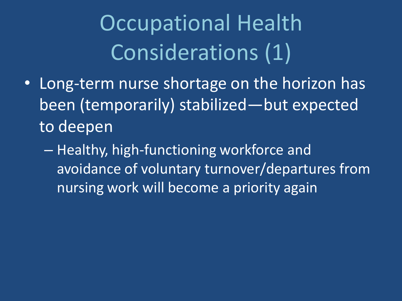Occupational Health Considerations (1)

- Long-term nurse shortage on the horizon has been (temporarily) stabilized—but expected to deepen
	- Healthy, high-functioning workforce and avoidance of voluntary turnover/departures from nursing work will become a priority again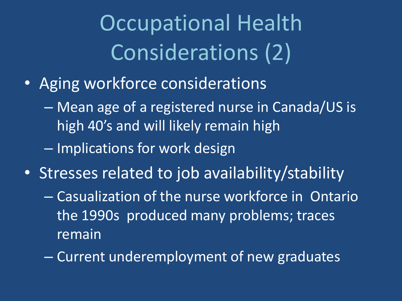Occupational Health Considerations (2)

- Aging workforce considerations
	- Mean age of a registered nurse in Canada/US is high 40's and will likely remain high
	- Implications for work design
- Stresses related to job availability/stability
	- Casualization of the nurse workforce in Ontario the 1990s produced many problems; traces remain
	- Current underemployment of new graduates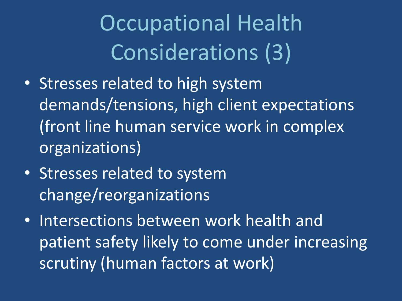Occupational Health Considerations (3)

- Stresses related to high system demands/tensions, high client expectations (front line human service work in complex organizations)
- Stresses related to system change/reorganizations
- Intersections between work health and patient safety likely to come under increasing scrutiny (human factors at work)